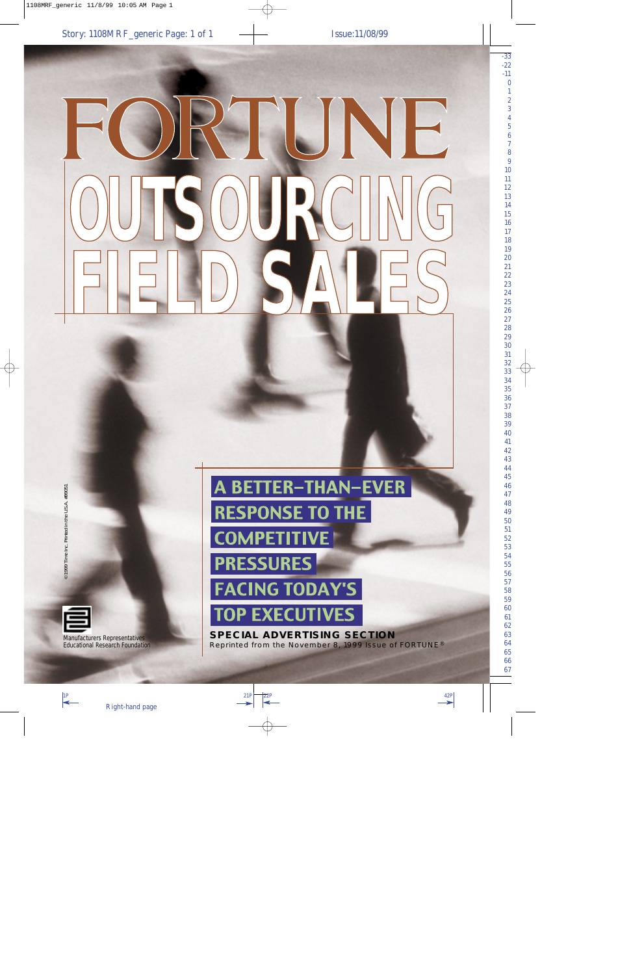# RTUNE **OUTSOURCING FIELD SALES**

©1999 Time Inc. Printed in the U.S.A. #9905 ©1999 Time Inc. Printed in the U.S.A. #99051



Manufacturers Representatives Educational Research Foundation

# **A BETTER-THAN-EVER RESPONSE TO THE COMPETITIVE PRESSURES FACING TODAY'S TOP EXECUTIVES**

**SPECIAL ADVERTISING SECTION** Reprinted from the November 8, 1999 Issue of FORTUNE®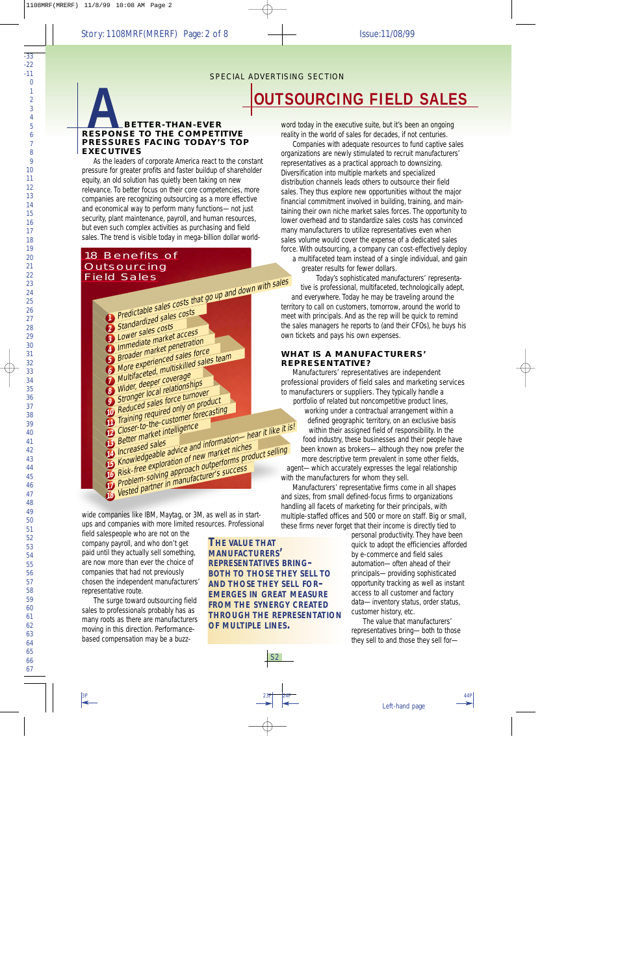# **BETTER-THAN-EVER RESPONSE TO THE COMPETITIVE PRESSURES FACING TODAY'S TOP EXECUTIVES**

As the leaders of corporate America react to the constant pressure for greater profits and faster buildup of shareholder equity, an old solution has quietly been taking on new relevance. To better focus on their core competencies, more companies are recognizing outsourcing as a more effective and economical way to perform many functions-not just security, plant maintenance, payroll, and human resources, but even such complex activities as purchasing and field sales. The trend is visible today in mega-billion dollar world-

# 18 Benefits of **Outsourcing Field Sales**



wide companies like IBM, Maytag, or 3M, as well as in startups and companies with more limited resources. Professional

field salespeople who are not on the company payroll, and who don't get paid until they actually sell something, are now more than ever the choice of companies that had not previously chosen the independent manufacturers' representative route.

The surge toward outsourcing field sales to professionals probably has as many roots as there are manufacturers moving in this direction. Performancebased compensation may be a buzz-

THE VALUE THAT **MANUFACTURERS' REPRESENTATIVES BRING-BOTH TO THOSE THEY SELL TO AND THOSE THEY SELL FOR-EMERGES IN GREAT MEASURE FROM THE SYNERGY CREATED THROUGH THE REPRESENTATION** OF MULTIPLE LINES.

 $S<sub>2</sub>$ 

word today in the executive suite, but it's been an ongoing reality in the world of sales for decades, if not centuries.

Companies with adequate resources to fund captive sales organizations are newly stimulated to recruit manufacturers' representatives as a practical approach to downsizing. Diversification into multiple markets and specialized distribution channels leads others to outsource their field sales. They thus explore new opportunities without the major financial commitment involved in building, training, and maintaining their own niche market sales forces. The opportunity to lower overhead and to standardize sales costs has convinced many manufacturers to utilize representatives even when sales volume would cover the expense of a dedicated sales force. With outsourcing, a company can cost-effectively deploy a multifaceted team instead of a single individual, and gain

greater results for fewer dollars.

Today's sophisticated manufacturers' representative is professional, multifaceted, technologically adept, and everywhere. Today he may be traveling around the territory to call on customers, tomorrow, around the world to meet with principals. And as the rep will be quick to remind the sales managers he reports to (and their CFOs), he buys his own tickets and pays his own expenses.

#### **WHAT IS A MANUFACTURFRS' REPRESENTATIVE?**

Manufacturers' representatives are independent professional providers of field sales and marketing services to manufacturers or suppliers. They typically handle a

portfolio of related but noncompetitive product lines, working under a contractual arrangement within a defined geographic territory, on an exclusive basis within their assigned field of responsibility. In the food industry, these businesses and their people have been known as brokers-although they now prefer the more descriptive term prevalent in some other fields,

agent-which accurately expresses the legal relationship with the manufacturers for whom they sell.

Manufacturers' representative firms come in all shapes and sizes, from small defined-focus firms to organizations handling all facets of marketing for their principals, with multiple-staffed offices and 500 or more on staff. Big or small, these firms never forget that their income is directly tied to

> personal productivity. They have been quick to adopt the efficiencies afforded by e-commerce and field sales automation-often ahead of their principals-providing sophisticated opportunity tracking as well as instant access to all customer and factory data-inventory status, order status, customer history, etc.

The value that manufacturers' representatives bring-both to those they sell to and those they sell for-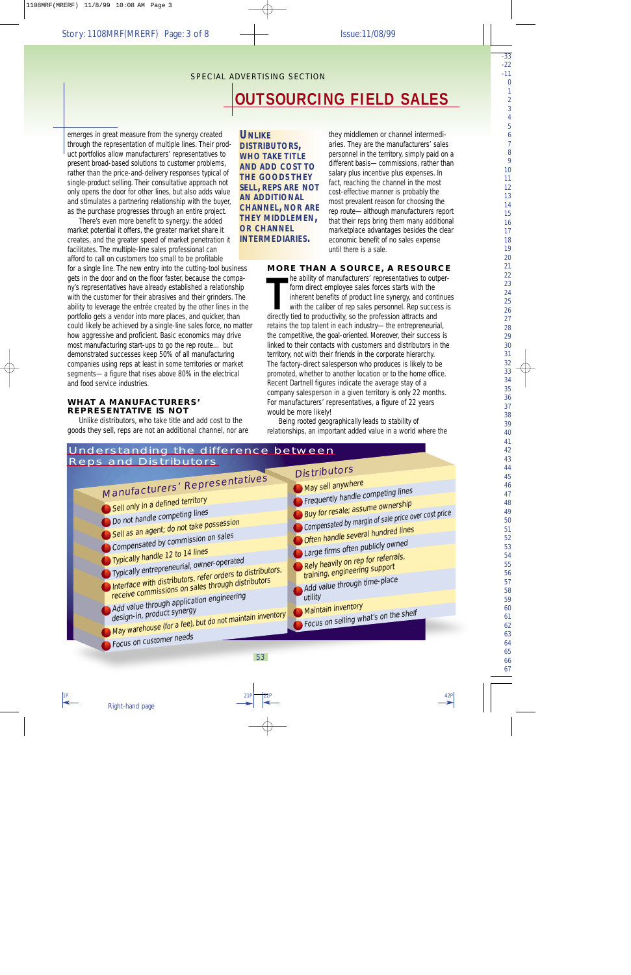emerges in great measure from the synergy created through the representation of multiple lines. Their product portfolios allow manufacturers' representatives to present broad-based solutions to customer problems, rather than the price-and-delivery responses typical of single-product selling. Their consultative approach not only opens the door for other lines, but also adds value and stimulates a partnering relationship with the buyer, as the purchase progresses through an entire project.

There's even more benefit to synergy: the added market potential it offers, the greater market share it creates, and the greater speed of market penetration it facilitates. The multiple-line sales professional can afford to call on customers too small to be profitable for a single line. The new entry into the cutting-tool business gets in the door and on the floor faster, because the company's representatives have already established a relationship with the customer for their abrasives and their grinders. The ability to leverage the entrée created by the other lines in the portfolio gets a vendor into more places, and quicker, than could likely be achieved by a single-line sales force, no matter how aggressive and proficient. Basic economics may drive most manufacturing start-ups to go the rep route… but demonstrated successes keep 50% of all manufacturing companies using reps at least in some territories or market segments—a figure that rises above 80% in the electrical and food service industries.

#### **WHAT A MANUFACTURERS' REPRESENTATIVE IS NOT**

Unlike distributors, who take title and add cost to the goods they sell, reps are not an additional channel, nor are

*UNLIKE DISTRIBUTORS, WHO TAKE TITLE AND ADD COST TO THE GOODS THEY SELL, REPS ARE NOT AN ADDITIONAL CHANNEL, NOR ARE THEY MIDDLEMEN, OR CHANNEL INTERMEDIARIES.*

they middlemen or channel intermediaries. They are the manufacturers' sales personnel in the territory, simply paid on a different basis—commissions, rather than salary plus incentive plus expenses. In fact, reaching the channel in the most cost-effective manner is probably the most prevalent reason for choosing the rep route—although manufacturers report that their reps bring them many additional marketplace advantages besides the clear economic benefit of no sales expense until there is a sale.

#### **MORE THAN A SOURCE, A RESOURCE**

The ability of manufacturers' representatives to out form direct employee sales forces starts with the inherent benefits of product line synergy, and con with the caliber of rep sales personnel. Rep succe directly tied to he ability of manufacturers' representatives to outperform direct employee sales forces starts with the inherent benefits of product line synergy, and continues with the caliber of rep sales personnel. Rep success is retains the top talent in each industry—the entrepreneurial, the competitive, the goal-oriented. Moreover, their success is linked to their contacts with customers and distributors in the territory, not with their friends in the corporate hierarchy. The factory-direct salesperson who produces is likely to be promoted, whether to another location or to the home office. Recent Dartnell figures indicate the average stay of a company salesperson in a given territory is only 22 months. For manufacturers' representatives, a figure of 22 years would be more likely!

Being rooted geographically leads to stability of relationships, an important added value in a world where the

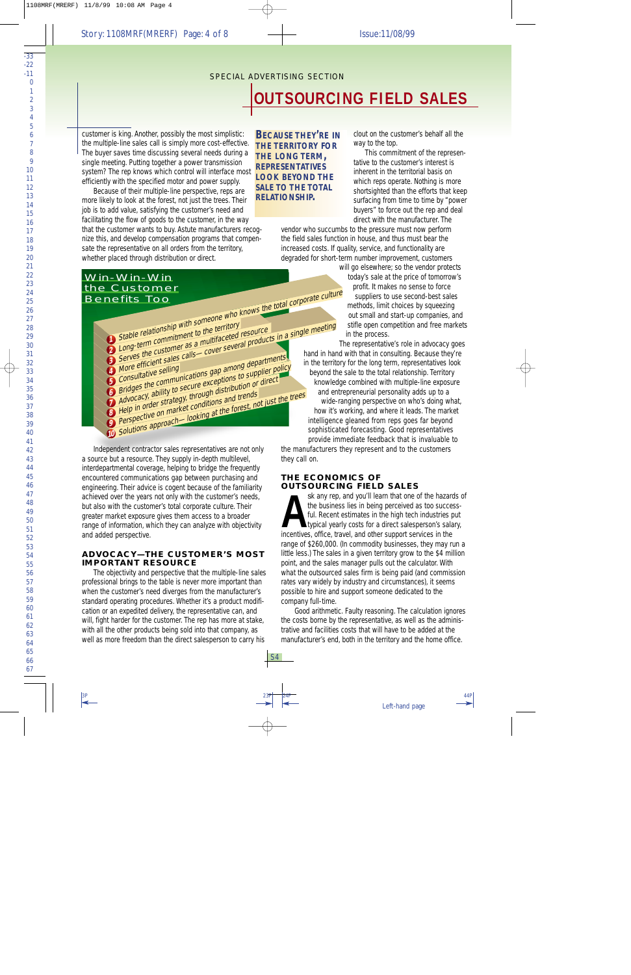customer is king. Another, possibly the most simplistic: the multiple-line sales call is simply more cost-effective. The buyer saves time discussing several needs during a single meeting. Putting together a power transmission system? The rep knows which control will interface most efficiently with the specified motor and power supply.

Because of their multiple-line perspective, reps are more likely to look at the forest, not just the trees. Their job is to add value, satisfying the customer's need and facilitating the flow of goods to the customer, in the way that the customer wants to buy. Astute manufacturers recognize this, and develop compensation programs that compensate the representative on all orders from the territory, whether placed through distribution or direct.

## Win-Win-Win the Customer **Benefits Too**



Independent contractor sales representatives are not only a source but a resource. They supply in-depth multilevel, interdepartmental coverage, helping to bridge the frequently encountered communications gap between purchasing and engineering. Their advice is cogent because of the familiarity achieved over the years not only with the customer's needs, but also with the customer's total corporate culture. Their greater market exposure gives them access to a broader range of information, which they can analyze with objectivity and added perspective.

#### **ADVOCACY-THE CUSTOMER'S MOST IMPORTANT RESOURCE**

The objectivity and perspective that the multiple-line sales professional brings to the table is never more important than when the customer's need diverges from the manufacturer's standard operating procedures. Whether it's a product modification or an expedited delivery, the representative can, and will, fight harder for the customer. The rep has more at stake, with all the other products being sold into that company, as well as more freedom than the direct salesperson to carry his

**BECAUSE THEY'RE IN THE TERRITORY FOR** THE LONG TERM, **REPRESENTATIVES LOOK BEYOND THE SAI F TO THE TOTAL RELATIONSHIP.** 

clout on the customer's behalf all the way to the top.

This commitment of the representative to the customer's interest is inherent in the territorial basis on which reps operate. Nothing is more shortsighted than the efforts that keep surfacing from time to time by "power buyers" to force out the rep and deal direct with the manufacturer. The

vendor who succumbs to the pressure must now perform the field sales function in house, and thus must bear the increased costs. If quality, service, and functionality are degraded for short-term number improvement, customers

will go elsewhere; so the vendor protects today's sale at the price of tomorrow's profit. It makes no sense to force suppliers to use second-best sales methods, limit choices by squeezing out small and start-up companies, and stifle open competition and free markets in the process.

The representative's role in advocacy goes hand in hand with that in consulting. Because they're in the territory for the long term, representatives look beyond the sale to the total relationship. Territory knowledge combined with multiple-line exposure and entrepreneurial personality adds up to a wide-ranging perspective on who's doing what, how it's working, and where it leads. The market intelligence gleaned from reps goes far beyond sophisticated forecasting. Good representatives provide immediate feedback that is invaluable to

the manufacturers they represent and to the customers they call on.

#### THE ECONOMICS OF **OUTSOURCING FIELD SALES**

sk any rep, and you'll learn that one of the hazards of the business lies in being perceived as too successful. Recent estimates in the high tech industries put typical yearly costs for a direct salesperson's salary, incentives, office, travel, and other support services in the range of \$260,000. (In commodity businesses, they may run a little less.) The sales in a given territory grow to the \$4 million point, and the sales manager pulls out the calculator. With what the outsourced sales firm is being paid (and commission rates vary widely by industry and circumstances), it seems possible to hire and support someone dedicated to the company full-time.

Good arithmetic. Faulty reasoning. The calculation ignores the costs borne by the representative, as well as the administrative and facilities costs that will have to be added at the manufacturer's end, both in the territory and the home office.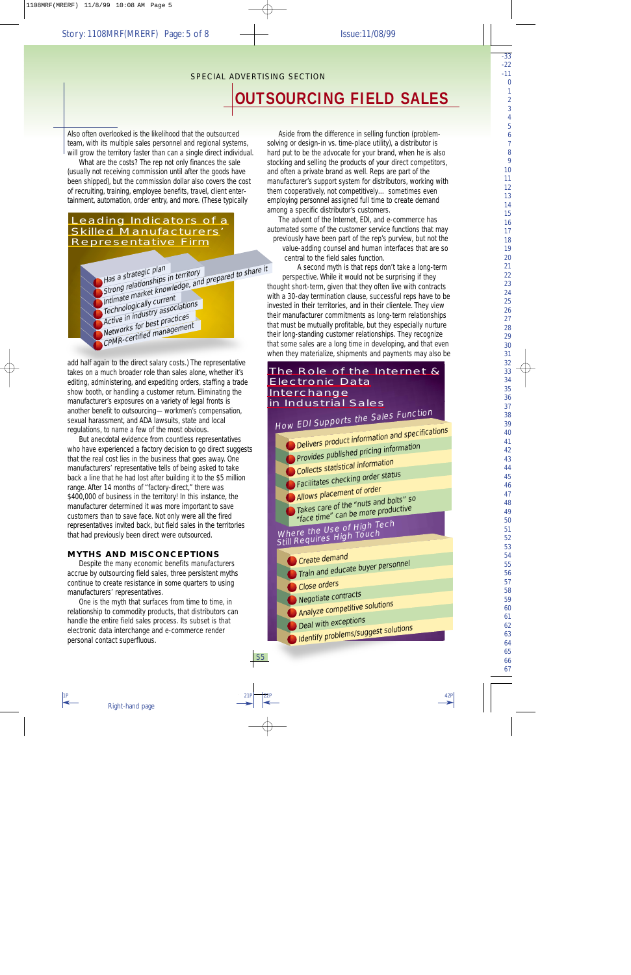#### SPECIAL ADVERTISING SECTION

# **OUTSOURCING FIELD SALES**

Also often overlooked is the likelihood that the outsourced team, with its multiple sales personnel and regional systems, will grow the territory faster than can a single direct individual.

What are the costs? The rep not only finances the sale (usually not receiving commission until after the goods have been shipped), but the commission dollar also covers the cost of recruiting, training, employee benefits, travel, client entertainment, automation, order entry, and more. (These typically

## Leading Indicators of a Skilled Manufacturers' Representative Firm

Has a strategic plan<br>Strong relationships in territory<br>Intimate market knowledge, and prepared to share it Technologically current Active in industry associations Networks for best practices CPMR-certified management

add half again to the direct salary costs.) The representative takes on a much broader role than sales alone, whether it's editing, administering, and expediting orders, staffing a trade show booth, or handling a customer return. Eliminating the manufacturer's exposures on a variety of legal fronts is another benefit to outsourcing—workmen's compensation, sexual harassment, and ADA lawsuits, state and local regulations, to name a few of the most obvious.

But anecdotal evidence from countless representatives who have experienced a factory decision to go direct suggests that the real cost lies in the business that goes away. One manufacturers' representative tells of being asked to take back a line that he had lost after building it to the \$5 million range. After 14 months of "factory-direct," there was \$400,000 of business in the territory! In this instance, the manufacturer determined it was more important to save customers than to save face. Not only were all the fired representatives invited back, but field sales in the territories that had previously been direct were outsourced.

#### **MYTHS AND MISCONCEPTIONS**

Despite the many economic benefits manufacturers accrue by outsourcing field sales, three persistent myths continue to create resistance in some quarters to using manufacturers' representatives.

One is the myth that surfaces from time to time, in relationship to commodity products, that distributors can handle the entire field sales process. Its subset is that electronic data interchange and e-commerce render personal contact superfluous.

Aside from the difference in selling *function* (problemsolving or design-in vs. time-place utility), a distributor is hard put to be the advocate for your brand, when he is also stocking and selling the products of your direct competitors, and often a private brand as well. Reps are part of the manufacturer's support system for distributors, working with them cooperatively, not competitively… sometimes even employing personnel assigned full time to create demand among a specific distributor's customers.

The advent of the Internet, EDI, and e-commerce has automated some of the customer service functions that may previously have been part of the rep's purview, but not the value-adding counsel and human interfaces that are so central to the field sales function.

A second myth is that reps don't take a long-term perspective. While it would not be surprising if they thought short-term, given that they often live with contracts with a 30-day termination clause, successful reps have to be invested in their territories, and in their clientele. They view their manufacturer commitments as long-term relationships that must be mutually profitable, but they especially nurture their long-standing customer relationships. They recognize that some sales are a long time in developing, and that even when they materialize, shipments and payments may also be

# The Role of the Internet & Electronic Data **Interchange** in Industrial Sales

EDI Supports the Sales Function

| HOW $E_{\text{L}}$ $\frac{E_{\text{L}}}{E_{\text{L}}}$  |
|---------------------------------------------------------|
| <b>Delivers product information and specifications</b>  |
| Provides published pricing information                  |
| <b>Collects statistical information</b>                 |
| Facilitates checking order status                       |
|                                                         |
| Allows placement of order                               |
| Takes care of the "nuts and bolts" so                   |
| "face time" can be more productive                      |
| Where the Use of High Tech<br>Still Requires High Touch |
|                                                         |
| Create demand                                           |
| Train and educate buyer personnel                       |
|                                                         |
| Close orders                                            |
| Negotiate contracts                                     |
| Analyze competitive solutions                           |
| Deal with exceptions                                    |
| Identify problems/suggest solutions                     |
|                                                         |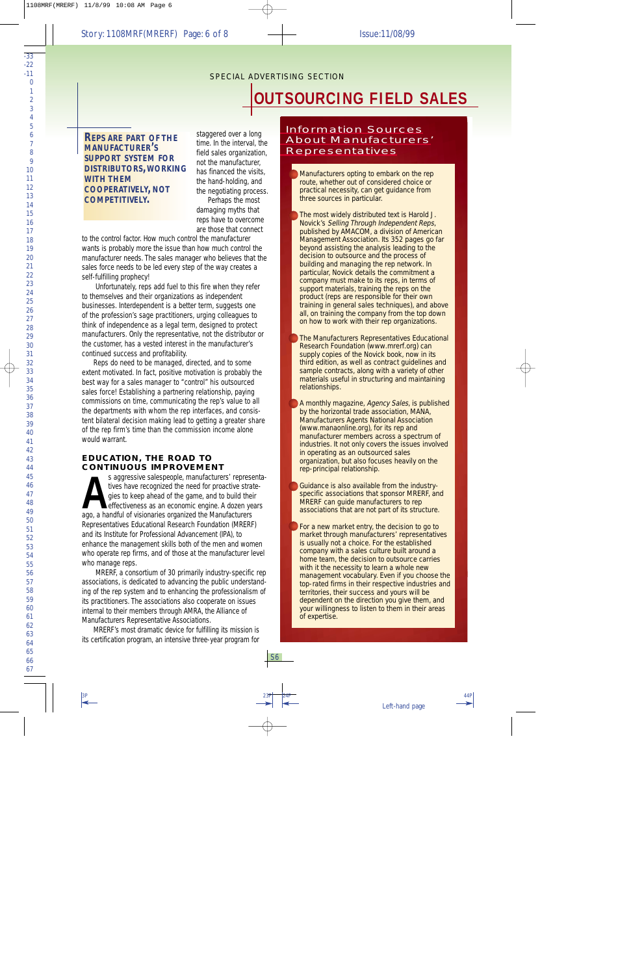*REPS ARE PART OF THE MANUFACTURER'S SUPPORT SYSTEM FOR DISTRIBUTORS,WORKING WITH THEM COOPERATIVELY, NOT COMPETITIVELY.*

staggered over a long time. In the interval, the field sales organization, not the manufacturer, has financed the visits, the hand-holding, and the negotiating process. Perhaps the most damaging myths that reps have to overcome are those that connect

to the control factor. How much control the manufacturer *wants* is probably more the issue than how much control the manufacturer *needs*. The sales manager who believes that the sales force needs to be led every step of the way creates a self-fulfilling prophecy!

Unfortunately, reps add fuel to this fire when they refer to themselves and their organizations as independent businesses. *Interdependent* is a better term, suggests one of the profession's sage practitioners, urging colleagues to think of independence as a legal term, designed to protect manufacturers. Only the representative, not the distributor or the customer, has a vested interest in the manufacturer's continued success and profitability.

Reps *do* need to be managed, directed, and to some extent motivated. In fact, positive motivation is probably the best way for a sales manager to "control" his outsourced sales force! Establishing a partnering relationship, paying commissions on time, communicating the rep's value to all the departments with whom the rep interfaces, and consistent bilateral decision making lead to getting a greater share of the rep firm's time than the commission income alone would warrant.

#### **EDUCATION, THE ROAD TO CONTINUOUS IMPROVEMENT**

s aggressive salespeople, manufacturers' repres<br>tives have recognized the need for proactive stra<br>gies to keep ahead of the game, and to build the<br>effectiveness as an economic engine. A dozen ye<br>ago, a handful of visionari s aggressive salespeople, manufacturers' representatives have recognized the need for proactive strategies to keep ahead of the game, and to build their effectiveness as an economic engine. A dozen years Representatives Educational Research Foundation (MRERF) and its Institute for Professional Advancement (IPA), to enhance the management skills both of the men and women who operate rep firms, and of those at the manufacturer level who manage reps.

MRERF, a consortium of 30 primarily industry-specific rep associations, is dedicated to advancing the public understanding of the rep system and to enhancing the professionalism of its practitioners. The associations also cooperate on issues internal to their members through AMRA, the Alliance of Manufacturers Representative Associations.

MRERF's most dramatic device for fulfilling its mission is its certification program, an intensive three-year program for

## Information Sources About Manufacturers' Representatives

Manufacturers opting to embark on the rep route, whether out of considered choice or practical necessity, can get guidance from three sources in particular.

The most widely distributed text is Harold J. Novick's Selling Through Independent Reps, published by AMACOM, a division of American Management Association. Its 352 pages go far beyond assisting the analysis leading to the decision to outsource and the process of building and managing the rep network. In particular, Novick details the commitment a company must make to its reps, in terms of support materials, training the reps on the product (reps are responsible for their own training in general sales techniques), and above all, on training the company from the top down on how to work with their rep organizations.

The Manufacturers Representatives Educational Research Foundation (www.mrerf.org) can supply copies of the Novick book, now in its third edition, as well as contract guidelines and sample contracts, along with a variety of other materials useful in structuring and maintaining relationships.

A monthly magazine, Agency Sales, is published by the horizontal trade association, MANA, Manufacturers Agents National Association (www.manaonline.org), for its rep and manufacturer members across a spectrum of industries. It not only covers the issues involved in operating as an outsourced sales organization, but also focuses heavily on the rep-principal relationship.

Guidance is also available from the industryspecific associations that sponsor MRERF, and MRERF can guide manufacturers to rep associations that are not part of its structure.

For a new market entry, the decision to go to market through manufacturers' representatives is usually not a choice. For the established company with a sales culture built around a home team, the decision to outsource carries with it the necessity to learn a whole new management vocabulary. Even if you choose the top-rated firms in their respective industries and territories, their success and yours will be dependent on the direction you give them, and your willingness to listen to them in their areas of expertise.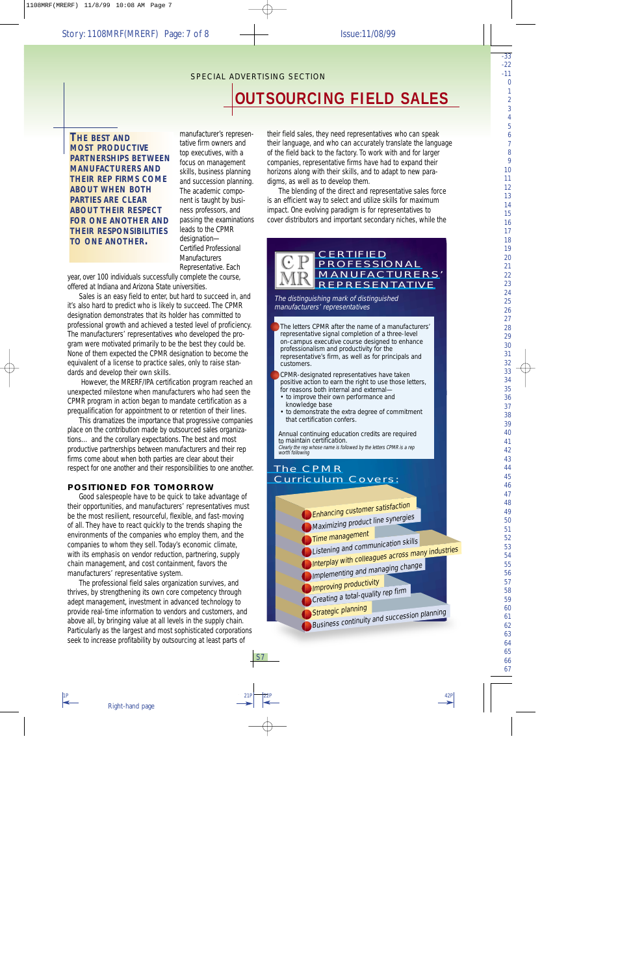*THE BEST AND MOST PRODUCTIVE PARTNERSHIPS BETWEEN MANUFACTURERS AND THEIR REP FIRMS COME ABOUT WHEN BOTH PARTIES ARE CLEAR ABOUT THEIR RESPECT FOR ONE ANOTHER AND THEIR RESPONSIBILITIES TO ONE ANOTHER.*

manufacturer's representative firm owners and top executives, with a focus on management skills, business planning and succession planning. The academic component is taught by business professors, and passing the examinations leads to the CPMR designation— Certified Professional **Manufacturers** Representative. Each

year, over 100 individuals successfully complete the course, offered at Indiana and Arizona State universities.

Sales is an easy field to enter, but hard to succeed in, and it's also hard to predict who is likely to succeed. The CPMR designation demonstrates that its holder has committed to professional growth and achieved a tested level of proficiency. The manufacturers' representatives who developed the program were motivated primarily to be the best they could be. None of them expected the CPMR designation to become the equivalent of a license to practice sales, only to raise standards and develop their own skills.

However, the MRERF/IPA certification program reached an unexpected milestone when manufacturers who had seen the CPMR program in action began to mandate certification as a prequalification for appointment to or retention of their lines.

This dramatizes the importance that progressive companies place on the contribution made by outsourced sales organizations… and the corollary expectations. The best and most productive partnerships between manufacturers and their rep firms come about when both parties are clear about their respect for one another and their responsibilities to one another.

### **POSITIONED FOR TOMORROW**

Good salespeople have to be quick to take advantage of their opportunities, and manufacturers' representatives must be the most resilient, resourceful, flexible, and fast-moving of all. They have to react quickly to the trends shaping the environments of the companies who employ them, and the companies to whom they sell. Today's economic climate, with its emphasis on vendor reduction, partnering, supply chain management, and cost containment, favors the manufacturers' representative system.

The professional field sales organization survives, and thrives, by strengthening its own core competency through adept management, investment in advanced technology to provide real-time information to vendors and customers, and above all, by bringing value at all levels in the supply chain. Particularly as the largest and most sophisticated corporations seek to increase profitability by outsourcing at least parts of

their field sales, they need representatives who can speak their language, and who can accurately translate the language of the field back to the factory. To work with and for larger companies, representative firms have had to expand their horizons along with their skills, and to adapt to new paradigms, as well as to develop them.

The blending of the direct and representative sales force is an efficient way to select and utilize skills for maximum impact. One evolving paradigm is for representatives to cover distributors and important secondary niches, while the

## **CERTIFIED** PROFESSIONAL MANUFACTURERS' REPRESENTATIVE

The distinguishing mark of distinguished manufacturers' representatives

The letters CPMR after the name of a manufacturers' representative signal completion of a three-level on-campus executive course designed to enhance professionalism and productivity for the representative's firm, as well as for principals and customers.

CPMR-designated representatives have taken positive action to earn the right to use those letters, for reasons both internal and external—

- to improve their own performance and knowledge base
- to demonstrate the extra degree of commitment that certification confers.

Annual continuing education credits are required to maintain certification. Clearly the rep whose name is followed by the letters CPMR is a rep worth following

## The CPMR Curriculum Covers: